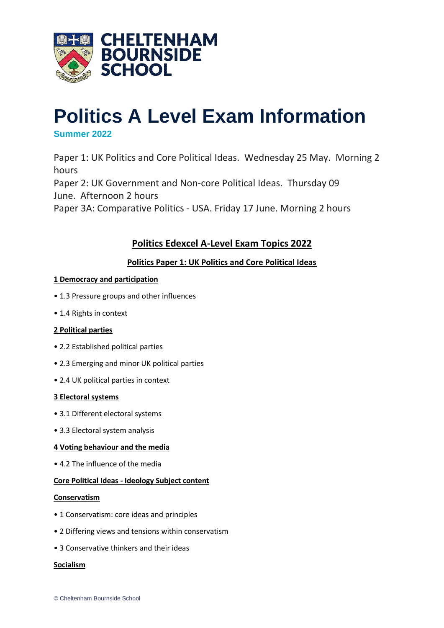

# **Politics A Level Exam Information**

# **Summer 2022**

Paper 1: UK Politics and Core Political Ideas. Wednesday 25 May. Morning 2 hours

Paper 2: UK Government and Non-core Political Ideas. Thursday 09 June. Afternoon 2 hours

Paper 3A: Comparative Politics - USA. Friday 17 June. Morning 2 hours

# **Politics Edexcel A-Level Exam Topics 2022**

# **Politics Paper 1: UK Politics and Core Political Ideas**

# **1 Democracy and participation**

- 1.3 Pressure groups and other influences
- 1.4 Rights in context

# **2 Political parties**

- 2.2 Established political parties
- 2.3 Emerging and minor UK political parties
- 2.4 UK political parties in context

# **3 Electoral systems**

- 3.1 Different electoral systems
- 3.3 Electoral system analysis

# **4 Voting behaviour and the media**

• 4.2 The influence of the media

# **Core Political Ideas - Ideology Subject content**

# **Conservatism**

- 1 Conservatism: core ideas and principles
- 2 Differing views and tensions within conservatism
- 3 Conservative thinkers and their ideas

# **Socialism**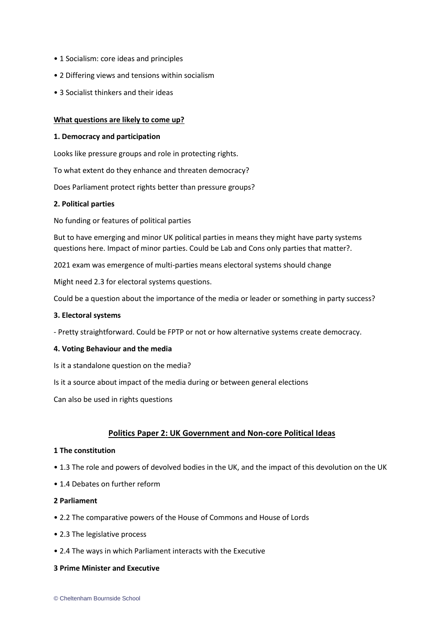- 1 Socialism: core ideas and principles
- 2 Differing views and tensions within socialism
- 3 Socialist thinkers and their ideas

# **What questions are likely to come up?**

## **1. Democracy and participation**

Looks like pressure groups and role in protecting rights.

To what extent do they enhance and threaten democracy?

Does Parliament protect rights better than pressure groups?

## **2. Political parties**

No funding or features of political parties

But to have emerging and minor UK political parties in means they might have party systems questions here. Impact of minor parties. Could be Lab and Cons only parties that matter?.

2021 exam was emergence of multi-parties means electoral systems should change

Might need 2.3 for electoral systems questions.

Could be a question about the importance of the media or leader or something in party success?

#### **3. Electoral systems**

- Pretty straightforward. Could be FPTP or not or how alternative systems create democracy.

#### **4. Voting Behaviour and the media**

- Is it a standalone question on the media?
- Is it a source about impact of the media during or between general elections

Can also be used in rights questions

# **Politics Paper 2: UK Government and Non-core Political Ideas**

# **1 The constitution**

- 1.3 The role and powers of devolved bodies in the UK, and the impact of this devolution on the UK
- 1.4 Debates on further reform
- **2 Parliament**
- 2.2 The comparative powers of the House of Commons and House of Lords
- 2.3 The legislative process
- 2.4 The ways in which Parliament interacts with the Executive

# **3 Prime Minister and Executive**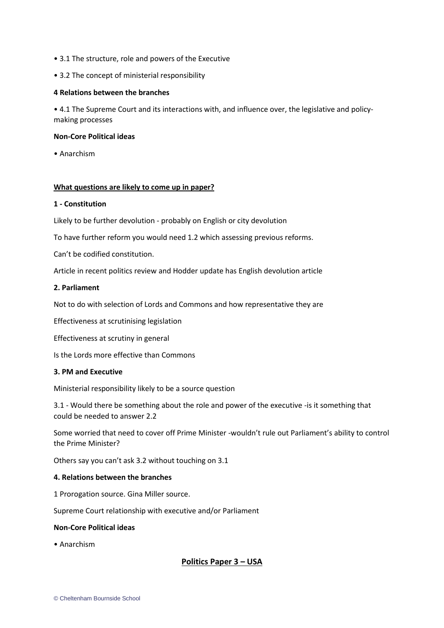- 3.1 The structure, role and powers of the Executive
- 3.2 The concept of ministerial responsibility

#### **4 Relations between the branches**

• 4.1 The Supreme Court and its interactions with, and influence over, the legislative and policymaking processes

## **Non-Core Political ideas**

• Anarchism

## **What questions are likely to come up in paper?**

#### **1 - Constitution**

Likely to be further devolution - probably on English or city devolution

To have further reform you would need 1.2 which assessing previous reforms.

Can't be codified constitution.

Article in recent politics review and Hodder update has English devolution article

## **2. Parliament**

Not to do with selection of Lords and Commons and how representative they are

Effectiveness at scrutinising legislation

Effectiveness at scrutiny in general

Is the Lords more effective than Commons

# **3. PM and Executive**

Ministerial responsibility likely to be a source question

3.1 - Would there be something about the role and power of the executive -is it something that could be needed to answer 2.2

Some worried that need to cover off Prime Minister -wouldn't rule out Parliament's ability to control the Prime Minister?

Others say you can't ask 3.2 without touching on 3.1

#### **4. Relations between the branches**

1 Prorogation source. Gina Miller source.

Supreme Court relationship with executive and/or Parliament

#### **Non-Core Political ideas**

• Anarchism

# **Politics Paper 3 – USA**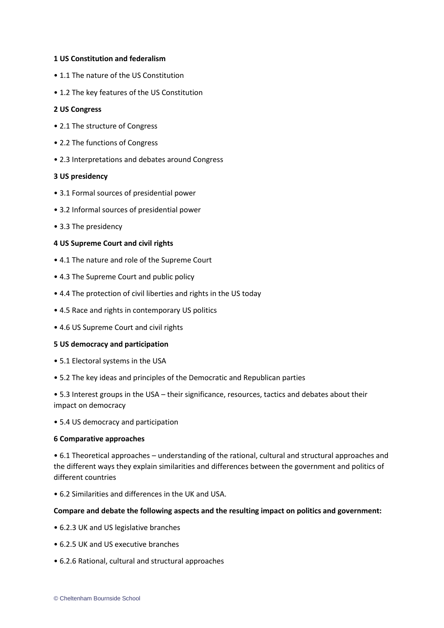## **1 US Constitution and federalism**

- 1.1 The nature of the US Constitution
- 1.2 The key features of the US Constitution

#### **2 US Congress**

- 2.1 The structure of Congress
- 2.2 The functions of Congress
- 2.3 Interpretations and debates around Congress

#### **3 US presidency**

- 3.1 Formal sources of presidential power
- 3.2 Informal sources of presidential power
- 3.3 The presidency

## **4 US Supreme Court and civil rights**

- 4.1 The nature and role of the Supreme Court
- 4.3 The Supreme Court and public policy
- 4.4 The protection of civil liberties and rights in the US today
- 4.5 Race and rights in contemporary US politics
- 4.6 US Supreme Court and civil rights

#### **5 US democracy and participation**

- 5.1 Electoral systems in the USA
- 5.2 The key ideas and principles of the Democratic and Republican parties

• 5.3 Interest groups in the USA – their significance, resources, tactics and debates about their impact on democracy

• 5.4 US democracy and participation

#### **6 Comparative approaches**

• 6.1 Theoretical approaches – understanding of the rational, cultural and structural approaches and the different ways they explain similarities and differences between the government and politics of different countries

• 6.2 Similarities and differences in the UK and USA.

#### **Compare and debate the following aspects and the resulting impact on politics and government:**

- 6.2.3 UK and US legislative branches
- 6.2.5 UK and US executive branches
- 6.2.6 Rational, cultural and structural approaches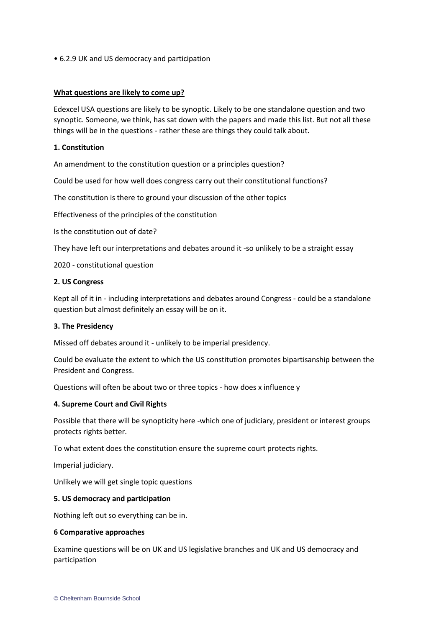• 6.2.9 UK and US democracy and participation

## **What questions are likely to come up?**

Edexcel USA questions are likely to be synoptic. Likely to be one standalone question and two synoptic. Someone, we think, has sat down with the papers and made this list. But not all these things will be in the questions - rather these are things they could talk about.

## **1. Constitution**

An amendment to the constitution question or a principles question?

Could be used for how well does congress carry out their constitutional functions?

The constitution is there to ground your discussion of the other topics

Effectiveness of the principles of the constitution

Is the constitution out of date?

They have left our interpretations and debates around it -so unlikely to be a straight essay

2020 - constitutional question

#### **2. US Congress**

Kept all of it in - including interpretations and debates around Congress - could be a standalone question but almost definitely an essay will be on it.

#### **3. The Presidency**

Missed off debates around it - unlikely to be imperial presidency.

Could be evaluate the extent to which the US constitution promotes bipartisanship between the President and Congress.

Questions will often be about two or three topics - how does x influence y

#### **4. Supreme Court and Civil Rights**

Possible that there will be synopticity here -which one of judiciary, president or interest groups protects rights better.

To what extent does the constitution ensure the supreme court protects rights.

Imperial judiciary.

Unlikely we will get single topic questions

#### **5. US democracy and participation**

Nothing left out so everything can be in.

#### **6 Comparative approaches**

Examine questions will be on UK and US legislative branches and UK and US democracy and participation